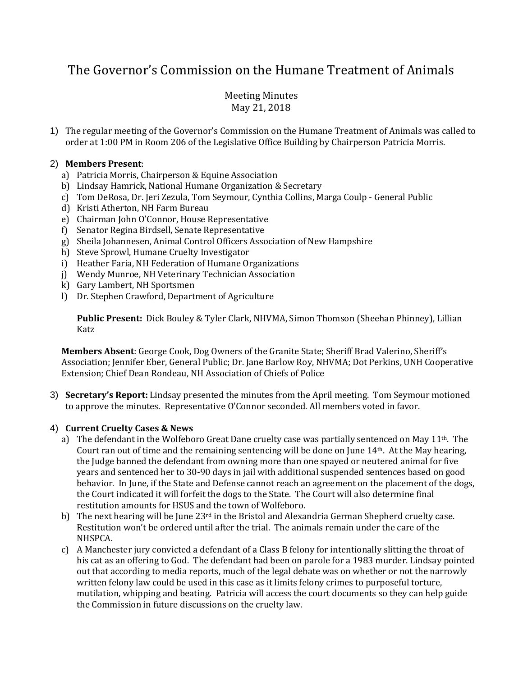# The Governor's Commission on the Humane Treatment of Animals

## Meeting Minutes May 21, 2018

1) The regular meeting of the Governor's Commission on the Humane Treatment of Animals was called to order at 1:00 PM in Room 206 of the Legislative Office Building by Chairperson Patricia Morris.

#### 2) **Members Present**:

- a) Patricia Morris, Chairperson & Equine Association
- b) Lindsay Hamrick, National Humane Organization & Secretary
- c) Tom DeRosa, Dr. Jeri Zezula, Tom Seymour, Cynthia Collins, Marga Coulp General Public
- d) Kristi Atherton, NH Farm Bureau
- e) Chairman John O'Connor, House Representative
- f) Senator Regina Birdsell, Senate Representative
- g) Sheila Johannesen, Animal Control Officers Association of New Hampshire
- h) Steve Sprowl, Humane Cruelty Investigator
- i) Heather Faria, NH Federation of Humane Organizations
- j) Wendy Munroe, NH Veterinary Technician Association
- k) Gary Lambert, NH Sportsmen
- l) Dr. Stephen Crawford, Department of Agriculture

**Public Present:** Dick Bouley & Tyler Clark, NHVMA, Simon Thomson (Sheehan Phinney), Lillian Katz

**Members Absent**: George Cook, Dog Owners of the Granite State; Sheriff Brad Valerino, Sheriff's Association; Jennifer Eber, General Public; Dr. Jane Barlow Roy, NHVMA; Dot Perkins, UNH Cooperative Extension; Chief Dean Rondeau, NH Association of Chiefs of Police

3) **Secretary's Report:** Lindsay presented the minutes from the April meeting. Tom Seymour motioned to approve the minutes. Representative O'Connor seconded. All members voted in favor.

#### 4) **Current Cruelty Cases & News**

- a) The defendant in the Wolfeboro Great Dane cruelty case was partially sentenced on May  $11<sup>th</sup>$ . The Court ran out of time and the remaining sentencing will be done on June 14th. At the May hearing, the Judge banned the defendant from owning more than one spayed or neutered animal for five years and sentenced her to 30-90 days in jail with additional suspended sentences based on good behavior. In June, if the State and Defense cannot reach an agreement on the placement of the dogs, the Court indicated it will forfeit the dogs to the State. The Court will also determine final restitution amounts for HSUS and the town of Wolfeboro.
- b) The next hearing will be June  $23<sup>rd</sup>$  in the Bristol and Alexandria German Shepherd cruelty case. Restitution won't be ordered until after the trial. The animals remain under the care of the NHSPCA.
- c) A Manchester jury convicted a defendant of a Class B felony for intentionally slitting the throat of his cat as an offering to God. The defendant had been on parole for a 1983 murder. Lindsay pointed out that according to media reports, much of the legal debate was on whether or not the narrowly written felony law could be used in this case as it limits felony crimes to purposeful torture, mutilation, whipping and beating. Patricia will access the court documents so they can help guide the Commission in future discussions on the cruelty law.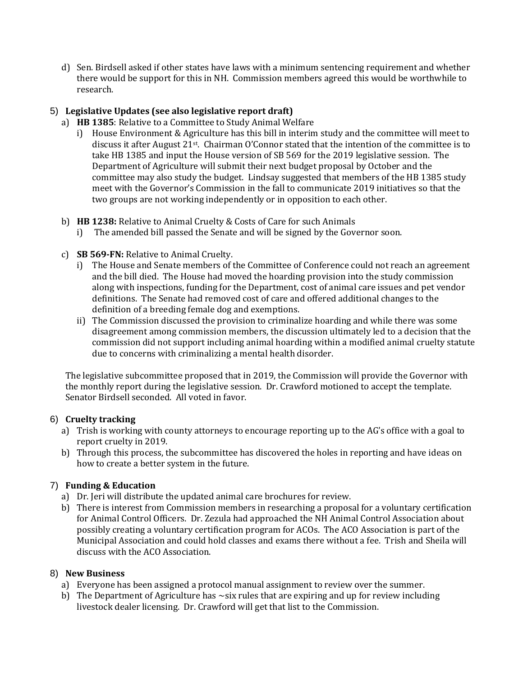d) Sen. Birdsell asked if other states have laws with a minimum sentencing requirement and whether there would be support for this in NH. Commission members agreed this would be worthwhile to research.

#### 5) **Legislative Updates (see also legislative report draft)**

- a) **HB 1385**: Relative to a Committee to Study Animal Welfare
	- i) House Environment & Agriculture has this bill in interim study and the committee will meet to discuss it after August 21st. Chairman O'Connor stated that the intention of the committee is to take HB 1385 and input the House version of SB 569 for the 2019 legislative session. The Department of Agriculture will submit their next budget proposal by October and the committee may also study the budget. Lindsay suggested that members of the HB 1385 study meet with the Governor's Commission in the fall to communicate 2019 initiatives so that the two groups are not working independently or in opposition to each other.
- b) **HB 1238:** Relative to Animal Cruelty & Costs of Care for such Animals
	- i) The amended bill passed the Senate and will be signed by the Governor soon.
- c) **SB 569-FN:** Relative to Animal Cruelty.
	- i) The House and Senate members of the Committee of Conference could not reach an agreement and the bill died. The House had moved the hoarding provision into the study commission along with inspections, funding for the Department, cost of animal care issues and pet vendor definitions. The Senate had removed cost of care and offered additional changes to the definition of a breeding female dog and exemptions.
	- ii) The Commission discussed the provision to criminalize hoarding and while there was some disagreement among commission members, the discussion ultimately led to a decision that the commission did not support including animal hoarding within a modified animal cruelty statute due to concerns with criminalizing a mental health disorder.

The legislative subcommittee proposed that in 2019, the Commission will provide the Governor with the monthly report during the legislative session. Dr. Crawford motioned to accept the template. Senator Birdsell seconded. All voted in favor.

#### 6) **Cruelty tracking**

- a) Trish is working with county attorneys to encourage reporting up to the AG's office with a goal to report cruelty in 2019.
- b) Through this process, the subcommittee has discovered the holes in reporting and have ideas on how to create a better system in the future.

## 7) **Funding & Education**

- a) Dr. Jeri will distribute the updated animal care brochures for review.
- b) There is interest from Commission members in researching a proposal for a voluntary certification for Animal Control Officers. Dr. Zezula had approached the NH Animal Control Association about possibly creating a voluntary certification program for ACOs. The ACO Association is part of the Municipal Association and could hold classes and exams there without a fee. Trish and Sheila will discuss with the ACO Association.

#### 8) **New Business**

- a) Everyone has been assigned a protocol manual assignment to review over the summer.
- b) The Department of Agriculture has  $\sim$ six rules that are expiring and up for review including livestock dealer licensing. Dr. Crawford will get that list to the Commission.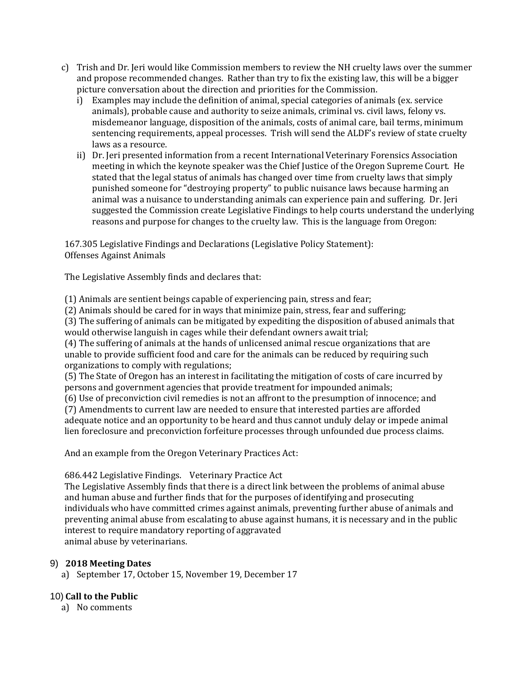- c) Trish and Dr. Jeri would like Commission members to review the NH cruelty laws over the summer and propose recommended changes. Rather than try to fix the existing law, this will be a bigger picture conversation about the direction and priorities for the Commission.
	- i) Examples may include the definition of animal, special categories of animals (ex. service animals), probable cause and authority to seize animals, criminal vs. civil laws, felony vs. misdemeanor language, disposition of the animals, costs of animal care, bail terms, minimum sentencing requirements, appeal processes. Trish will send the ALDF's review of state cruelty laws as a resource.
	- ii) Dr. Jeri presented information from a recent International Veterinary Forensics Association meeting in which the keynote speaker was the Chief Justice of the Oregon Supreme Court. He stated that the legal status of animals has changed over time from cruelty laws that simply punished someone for "destroying property" to public nuisance laws because harming an animal was a nuisance to understanding animals can experience pain and suffering. Dr. Jeri suggested the Commission create Legislative Findings to help courts understand the underlying reasons and purpose for changes to the cruelty law. This is the language from Oregon:

167.305 Legislative Findings and Declarations (Legislative Policy Statement): Offenses Against Animals

The Legislative Assembly finds and declares that:

(1) Animals are sentient beings capable of experiencing pain, stress and fear;

(2) Animals should be cared for in ways that minimize pain, stress, fear and suffering;

(3) The suffering of animals can be mitigated by expediting the disposition of abused animals that would otherwise languish in cages while their defendant owners await trial;

(4) The suffering of animals at the hands of unlicensed animal rescue organizations that are unable to provide sufficient food and care for the animals can be reduced by requiring such organizations to comply with regulations;

(5) The State of Oregon has an interest in facilitating the mitigation of costs of care incurred by persons and government agencies that provide treatment for impounded animals;

(6) Use of preconviction civil remedies is not an affront to the presumption of innocence; and

(7) Amendments to current law are needed to ensure that interested parties are afforded adequate notice and an opportunity to be heard and thus cannot unduly delay or impede animal lien foreclosure and preconviction forfeiture processes through unfounded due process claims.

And an example from the Oregon Veterinary Practices Act:

686.442 Legislative Findings. Veterinary Practice Act

The Legislative Assembly finds that there is a direct link between the problems of animal abuse and human abuse and further finds that for the purposes of identifying and prosecuting individuals who have committed crimes against animals, preventing further abuse of animals and preventing animal abuse from escalating to abuse against humans, it is necessary and in the public interest to require mandatory reporting of aggravated animal abuse by veterinarians.

#### 9) **2018 Meeting Dates**

a) September 17, October 15, November 19, December 17

## 10) **Call to the Public**

a) No comments